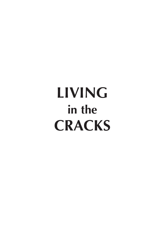# **LIVING**<br>in the **CRACKS CRACKS**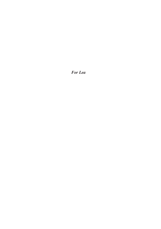*For Lea*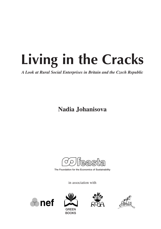*A Look at Rural Social Enterprises in Britain and the Czech Republic A Look at Rural Social Enterprises in Britain and the Czech Republic*

**Nadia Johanisova**

<u>teasta</u>

The Foundation for the Economics of Sustainability

in association with







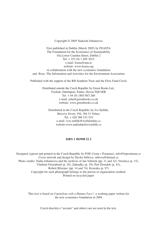#### Copyright © 2005 Nadezda Johanisova

First published in Dublin (March 2005) by FEASTA The Foundation for the Economics of Sustainability 10a Lower Camden Street, Dublin 2 Tel. + 353 (0) 1 405 3615 e-mail: feasta@anu.ie website: www.feasta.org in collaboration with the new economics foundation and Rosa -The Information and Activities for the Environment Association

Published with the support of the RH Southern Trust and the Flow Fund Circle

Distributed outside the Czech Republic by Green Books Ltd., Foxhole, Dartington, Totnes, Devon TQ9 6EB Tel. + 44 (0) 1803 863 260 e-mail: john@greenbooks.co.uk website: www.greenbooks.co.uk

Distributed in the Czech Republic by Ivo Stehlik, Brixovy Dvory 194, 384 51 Volary Tel. + 420 388 333 519 e-mail: ivos.stehlik@worldonline.cz website:www.nakladatelstvistehlik.cz

#### **ISBN 1 903998 52 2**

Designed, typeset and printed in the Czech Republic by FOP, Cerna v Posumavi, info@fopcentrum.cz Cover artwork and design by Slavka Strbova, strbova@domart.cz Photo credits: Nadia Johanisova and the archives of Jan Voberek (pp. 11 and 32), Veronica (p. 15), Vladimir Feierabend (p. 29), Zahradky (p. 39), Petr Dostalek (p. 43), Robert Blizenec (pp. 14 and 74), Kosenka (p. 97) Copyright for each photograph belongs to the person or organisation credited. Printed on recycled paper

This text is based on *Capitalism with a Human Face?*, a working paper written for the new economics foundation in 2004

Czech diacritics ("accents" and others) are not used in the text.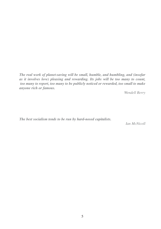*The real work of planet-saving will be small, humble, and humbling, and (insofar as it involves love) pleasing and rewarding. Its jobs will be too many to count, too many to report, too many to be publicly noticed or rewarded, too small to make anyone rich or famous.* 

*Wendell Berry* 

*The best socialism tends to be run by hard-nosed capitalists.*

*Ian McNicoll*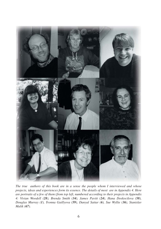

*The true authors of this book are in a sense the people whom I interviewed and whose projects, ideas and experiences form its essence. The details of most are in Appendix 4. Here are portraits of a few of them (from top left, numbered according to their projects in Appendix 4: Vivian Woodell (28), Brenda Smith (34), James Pavitt (24), Hana Doskocilova (58), Douglas Murray (1), Yvonna Gaillyova (59), Danyal Sattar (6), Sue Wyllie (36), Stanislav Malik (67).*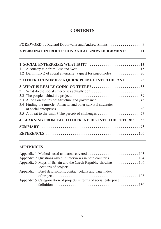# **CONTENTS**

| A PERSONAL INTRODUCTION AND ACKNOWLEDGEMENTS  11                |  |  |
|-----------------------------------------------------------------|--|--|
|                                                                 |  |  |
| 2 OTHER ECONOMIES: A QUICK PLUNGE INTO THE PAST 25              |  |  |
| 3.4 Finding the muscle: Financial and other survival strategies |  |  |
| 4 LEARNING FROM EACH OTHER: A PEEK INTO THE FUTURE? 85          |  |  |
|                                                                 |  |  |

## **APPENDICES**

| locations of projects                                               |
|---------------------------------------------------------------------|
| Appendix 4 Brief descriptions, contact details and page index       |
|                                                                     |
| Appendix 5 Categorisation of projects in terms of social enterprise |
|                                                                     |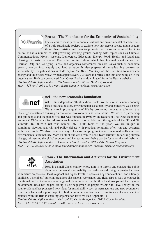#### **Feasta - The Foundation for the Economics of Sustainability**



Feasta aims to identify the economic, cultural and environmental characteristics of a truly sustainable society, to explore how our present society might acquire those characteristics and then to promote the measures required for it to

do so. It has a number of self-governing working groups dealing with topics such as Climate, Communications, Money systems, Democracy, Education, Energy, Food, Health and Land and Housing. It hosts the annual Feasta lecture in Dublin, which has featured speakers such as Herman Daly and Wolfgang Sachs, and organises conferences on core issues such as economic growth, energy, food supply and land taxation. It also prepares distance-learning courses on sustainability. Its publications include *Before the Wells Run Dry* on the transition to renewable energy and the *Feasta Review* which appears every 2-3 years and reflects the thinking going on in the organisation. Both can be ordered from Green Books or downloaded from the Feasta website. *Contact details: Office address: 10a Lower Camden Street, Dublin 2, Ireland.* 

*Tel.: + 353 (0) 1 405 3615, e-mail: feasta@anu.ie, website: www.feasta.org*



#### **nef - the new economics foundation**

**nef** is an independent "think-and-do" tank. We believe in a new economy based on social justice, environmental sustainability and collective well-being. We aim to improve quality of life by promoting innovative solutions that

challenge mainstream thinking on economic, environment and social issues. We work in partnership and put people and the planet first. **nef** was founded in 1986 by the leaders of The Other Economic Summit (TOES) which forced issues such as international debt onto the agenda of the G7 and G8 summits. In 2002/03 **nef** was named UK Think Tank of the year. We are unique in combining rigorous analysis and policy debate with practical solutions, often run and designed with local people. We also create new ways of measuring progress towards increased well-being and environmental sustainability. More on all of our work from "Clone Town Britain", to tackling climate change, reinventing the global economy and increasing well-being can be found on the **nef** website. *Contact details: Office address: 3 Jonathan Street, London, SE1 15NH, United Kingdom. Tel.: + 44 (0) 207820 6300, e-mail: info@neweconomics.org, website: www.neweconomics.org*



#### **Rosa - The Information and Activities for the Environment Association**

Rosa is a small Czech charity whose aim is to inform and educate the public about environmental sustainability and paths toward living in greater harmony

with nature on personal, local, regional and higher levels. It operates a "green telephone" and a library, publishes a members' bulletin, organises discussions, workshops and field trips as well as courses in traditional crafts. It also works on regional planning issues with other local groups and the regional government. Rosa has helped set up a self-help group of people wishing to "live lightly" in the countryside and has pioneered new ideas for sustainability such as permaculture and new economics. It recently launched a pilot project to build community self-reliance using time-banks as a result of contacts with the British enabling organisation Envolve (see Appendix 4).

*Contact details: Office address: Nadrazni 55, Ceske Budejovice, 37005, Czech Republic. Tel.: +420 387 432 030, e-mail: rosa@ecn.cz, website: www.rosa.ecn.cz*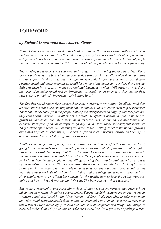# **FOREWORD**

### *by Richard Douthwaite and Andrew Simms*

*Nadia Johanisova once told us that this book was about "businesses with a difference". Now that we've read it, we have to tell her that's only partly true. It's mainly about people making a difference to the lives of those around them by means of running a business. Instead of people "being in business for themselves" this book is about people who are in business for society.* 

*The wonderful characters you will meet in its pages are all running social enterprises. These are not businesses run by society but ones which bring social benefits which their operators cannot capture in the prices they charge. In economic jargon, social enterprises deliver positive social and environmental externalities on top of the goods and services they provide. This sets them in contrast to many conventional businesses which, deliberately or not, dump the costs of negative social and environmental externalities on to society, thus cutting their own costs in pursuit of "improving their bottom line."* 

*The fact that social enterprises cannot charge their customers (or nature) for all the good they do often means that those running them have to find subsidies to allow them to pay their way. These sometimes come from the people running the enterprises who happily take less pay than they could earn elsewhere. In other cases, private benefactors and/or the public purse give grants to supplement the enterprises' commercial incomes. As this book shows though, the survival strategies of social enterprises go beyond the traditional subsidy/grant mentality. They include approaches such as using volunteer labour, selling direct to the public, growing one's own vegetables, exchanging one service for another, bartering, buying and selling on a co-operative basis and sharing capital expenses.*

*Another common feature of many social enterprises is that the benefits they deliver are local, going to the community or environment of a particular area. Most of the areas that benefit in this book are rural. Nadia says that this is because she lives in a rural area and has come to see the seeds of a more sustainable lifestyle there. "The people in my village are more connected to the land than the city people, but the village is being destroyed by capitalism just as it was by communism," she says. "So in my research for the book in Britain I was looking for ways to fight back. I expected that the problem would be worse there but that there would also be more developed methods of tackling it. I tried to find out things about how to keep the local shop viable, how to get affordable housing for the locals, how to keep the public transport going and how to keep farms paying their way. The book sets out what I learned."*

*The rooted, community, and rural dimensions of many social enterprises give them a huge advantage in meeting changing circumstances. During the 20th century, the market economy - powered and subsidised by the "free income" of fossil fuels expanded to take over many activities which were previously done within the community or at home. As a result, most of us found that we were better off if we sold our labour to an employer and bought the things we required rather than using our time to make them ourselves. It's a process, or perhaps a trap,*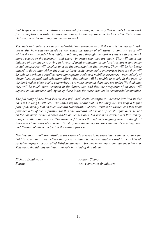*that keeps emerging in controversies around, for example, the way that parents have to work for an employer in order to earn the money to employ someone to look after their young children, in order that they can go out to work...*

*The state only intervenes in our sale-of-labour arrangements if the market economy breaks* down. But how will our needs be met when the supply of oil starts to contract, as it will *within the next decade? Inevitably, goods supplied through the market system will cost much more because of the transport- and energy-intensive way they are made. This will cause the balance of advantage to swing in favour of local production using local resources and many social enterprises will develop to seize the opportunities that emerge. They will be far better placed to do so than either the state or large-scale commercial enterprises because they will be able to work on a smaller, more appropriate scale and mobilise resources - particularly of cheap local capital and voluntary effort - that others will be unable to touch. In the past, as the book makes clear, social enterprises were more common than they are today. We think that they will be much more common in the future, too, and that the prosperity of an area will depend on the number and vigour of those it has far more than on its commercial companies.* 

*The full story of how both Feasta and nef - both social enterprises - became involved in this book is too long to tell here. The edited highlights are that, in the early 90s, nef helped to find part of the money that enabled Richard Douthwaite's Short Circuit to be written and that book provided a lot of the inspiration for this one. Richard, who is one of Feasta's founders, served on the committee which advised Nadia on her research, but her main adviser was Pat Conaty, a nef consultant and trustee. The thematic fit comes through nef's ongoing work on the ghost town and clone town phenomena. Feasta found the money to cover the book's printing costs and Feasta volunteers helped in the editing process.* 

*Needless to say, both organisations are extremely pleased to be associated with the volume you hold in your hands. We believe that for a sustainable, more equitable world to be achieved, social enterprise, the so-called Third Sector, has to become more important than the other two. This book should play an important role in bringing that about.* 

|        | Richard Douthwaite |
|--------|--------------------|
| Feasta |                    |

*Richard Douthwaite Andrew Simms Feasta new economics foundation*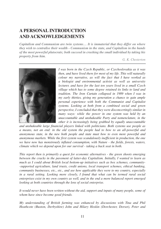# **A PERSONAL INTRODUCTION AND ACKNOWLEDGEMENTS**

*Capitalism and Communism are twin systems… It is immaterial that they differ on where they wish to centralise their wealth - Communism in the state, and Capitalism in the hands of the most powerful plutocrats; both succeed in crushing the small individual by taking his property from him.*

*G. K. Chesterton*



*I was born in the Czech Republic, or Czechoslovakia as it was then, and have lived there for most of my life. This will naturally colour my narrative, as will the fact that I have worked as a biologist and environmental activist as well as university lecturer, and have for the last ten years lived in a small Czech village which has to some degree retained its links to land and tradition. The Iron Curtain collapsed in 1989 when I was in my early thirties, giving my generation a chance to gain ample personal experience with both the Communist and Capitalist systems. Looking at both from a combined social and green perspective, I concluded that they were disconcertingly similar in many ways: while the power in one system was held by an unaccountable and unshakeable Party and nomenclature, in the other it is increasingly being grabbed by equally unaccountable*

*and unshakeable large financial players linked with politicians. Both systems use people as a means, not an end: in the old system the people had to bow to an all-powerful and anonymous state, in the new both people and state must bow to even more powerful and anonymous markets. While the first system was scandalously inefficient in production, the one we have now has monstrously inflated consumption, with Nature - the fields, forests, waters, climate which we depend upon for our survival - taking a back seat in both.*

*This report then is primarily a quest for economic alternatives - the green shoots emerging between the cracks in the pavement of latter-day Capitalism. Initially, I wanted to learn as much as I could about British local bottom-up initiatives such as box schemes, community- -supported agriculture, land trusts, credit unions, local transport schemes, ethical banking, community businesses, etc., etc., and see how applicable they were to my country, especially in a rural setting. Looking more closely, I found that what can be termed rural social enterprises exist in my own country as well, and in the end a more balanced report emerged looking at both countries through the lens of social enterprise.*

*It would never have been written without the aid, support and inputs of many people, some of whom have since become good friends.*

*My understanding of British farming was enhanced by discussions with Tina and Phil Heathcote (Buxton, Derbyshire) John and Hilary Hoskin (Dorchester, Dorset), Peter and*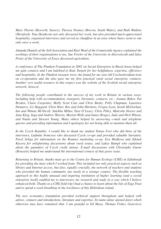*Mary Thorne (Byworth, Sussex), Theresa Toomey (Brecon, South Wales), and Ruth Watkins (Hereford). Tina Heathcote not only discussed her work, but also provided much appreciated hospitality, organised interviews and served as chauffeur in an area where buses seem to run only once a week.*

*Amanda Daniels of the Soil Association and Kari Ward of the Countryside Agency explained the workings of their organisations to me, Sue Fowler of the University in Aberystwyth and Jules Pretty of the University of Essex discussed agriculture.*

*A conference of The Plunkett Foundation in 2001 on Social Enterprise in Rural Areas helped me gain contacts and I am indebted to Kate Targett for her helpfulness, expertise, efficiency and hospitality. In the Plunkett treasure trove she found for me rare old Czechoslovakian texts on co-operation and she also gave me my first practical rural social enterprise contacts. Another very useful resource in this respect was the website of the Scottish social enterprise network, Senscot.* 

*The following people contributed to the success of my work in Britain in various ways, including help with accommodation, transport, literature, contacts, etc.: Joanne Baker, Pat Bryden, Claire Carpenter, Molly Scott Cato and Chris Busby, Polly Chapman, Laurence Demarco, Liz Haggard, Chris Hart, Ros and John Hitchens, Fergus Lyon, Sarah McGeehan, Ian and Winnie McNicoll, Sulekha Millar, Tara O'Leary, Chris Pilley, Malcolm Slesser and Jane King, Inga and Andrew Warren, Marion Wells and James Bruges, Judy and Dick Wilson, and Nuala and Stewart Young. Many others helped by answering e-mail and telephone queries and providing information and I apologise for not being able to mention them all.* 

*In the Czech Republic, I would like to thank my student Tomas Fort who did three of the interviews, Ludmila Nemcova who discussed Czech co-ops and provided valuable literature, Pavel Seliga for information on the Romney marketing co-op, Eva Medkova and Zdenek Kucera for enlightening discussions about rural issues, and Lukas Hampl who explained about the quandary of Czech credit unions. E-mail discussions with Christophe Guene (Brussels) helped me understand the international context of that grave issue.* 

*Returning to Britain, thanks must go to the Centre for Human Ecology (CHE) in Edinburgh for providing the base which I worked from. This included not only practical aspects such as library and Internet access, but also, equally crucially, the network of teachers and students* who provided the human community one needs in a strange country. The flexible teaching *approach in this highly unusual and inspiring institution of higher learning (and a social enterprise itself) enabled me to interweave my research and study in a way which I believe enhanced both. Thanks to a CHE field trip I had a chance to learn about the Isle of Eigg Trust and to spend a week breathing in the loveliness of this Hebridean island.* 

*The new economics foundation provided technical support throughout and helped with advice, contacts and introductions, literature and expertise. Its name alone opened doors which otherwise may have remained shut. I am grateful to Ed Mayo, Thomas Fisher, Genevieve*